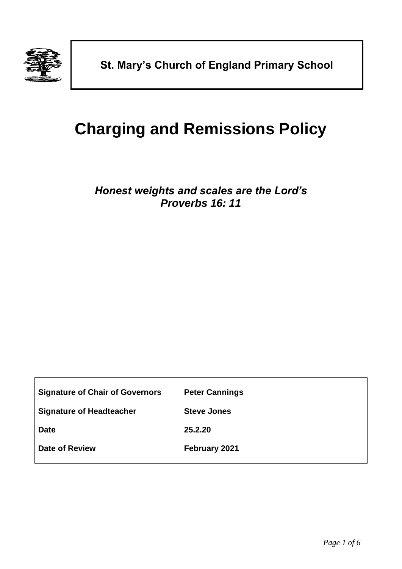

# **Charging and Remissions Policy**

## *Honest weights and scales are the Lord's Proverbs 16: 11*

| <b>Signature of Chair of Governors</b> | <b>Peter Cannings</b> |
|----------------------------------------|-----------------------|
| <b>Signature of Headteacher</b>        | <b>Steve Jones</b>    |
| <b>Date</b>                            | 25.2.20               |
| <b>Date of Review</b>                  | February 2021         |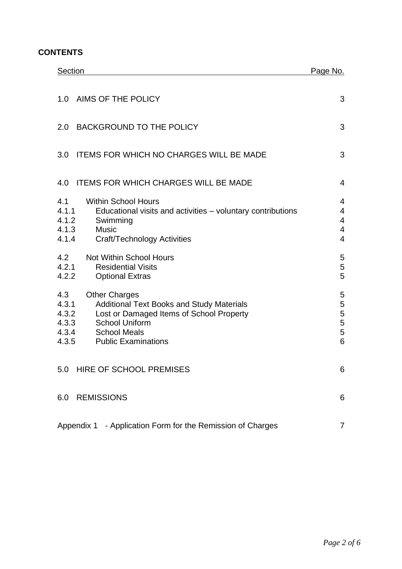### **CONTENTS**

| <b>Section</b>                                                                                                                                                                                                                                         | Page No.                                                                           |
|--------------------------------------------------------------------------------------------------------------------------------------------------------------------------------------------------------------------------------------------------------|------------------------------------------------------------------------------------|
| AIMS OF THE POLICY<br>1.0                                                                                                                                                                                                                              | 3                                                                                  |
| <b>BACKGROUND TO THE POLICY</b><br>2.0                                                                                                                                                                                                                 | 3                                                                                  |
| <b>ITEMS FOR WHICH NO CHARGES WILL BE MADE</b><br>3.0                                                                                                                                                                                                  | 3                                                                                  |
| <b>ITEMS FOR WHICH CHARGES WILL BE MADE</b><br>4.0                                                                                                                                                                                                     | $\overline{4}$                                                                     |
| 4.1<br><b>Within School Hours</b><br>4.1.1<br>Educational visits and activities - voluntary contributions<br>4.1.2<br>Swimming<br>4.1.3<br><b>Music</b><br>4.1.4<br><b>Craft/Technology Activities</b>                                                 | 4<br>$\overline{4}$<br>$\overline{\mathbf{4}}$<br>$\overline{4}$<br>$\overline{4}$ |
| 4.2<br><b>Not Within School Hours</b><br>4.2.1<br><b>Residential Visits</b><br>4.2.2<br><b>Optional Extras</b>                                                                                                                                         | 5<br>5<br>5                                                                        |
| 4.3<br><b>Other Charges</b><br>4.3.1<br><b>Additional Text Books and Study Materials</b><br>4.3.2<br>Lost or Damaged Items of School Property<br>4.3.3<br><b>School Uniform</b><br>4.3.4<br><b>School Meals</b><br>4.3.5<br><b>Public Examinations</b> | 5<br>5<br>5<br>5<br>5<br>6                                                         |
| 5.0 HIRE OF SCHOOL PREMISES                                                                                                                                                                                                                            | 6                                                                                  |
| <b>REMISSIONS</b><br>6.0                                                                                                                                                                                                                               | 6                                                                                  |
| Appendix 1 - Application Form for the Remission of Charges                                                                                                                                                                                             |                                                                                    |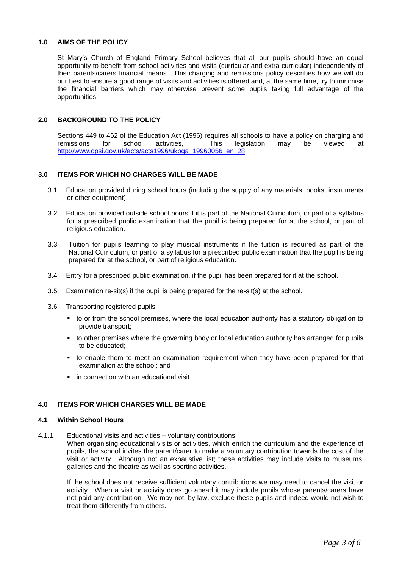#### <span id="page-2-0"></span>**1.0 AIMS OF THE POLICY**

St Mary's Church of England Primary School believes that all our pupils should have an equal opportunity to benefit from school activities and visits (curricular and extra curricular) independently of their parents/carers financial means. This charging and remissions policy describes how we will do our best to ensure a good range of visits and activities is offered and, at the same time, try to minimise the financial barriers which may otherwise prevent some pupils taking full advantage of the opportunities.

#### <span id="page-2-1"></span>**2.0 BACKGROUND TO THE POLICY**

Sections 449 to 462 of the Education Act (1996) requires all schools to have a policy on charging and remissions for school activities, This legislation may be viewed at [http://www.opsi.gov.uk/acts/acts1996/ukpga\\_19960056\\_en\\_28](http://www.opsi.gov.uk/acts/acts1996/ukpga_19960056_en_28)

#### <span id="page-2-2"></span>**3.0 ITEMS FOR WHICH NO CHARGES WILL BE MADE**

- 3.1 Education provided during school hours (including the supply of any materials, books, instruments or other equipment).
- 3.2 Education provided outside school hours if it is part of the National Curriculum, or part of a syllabus for a prescribed public examination that the pupil is being prepared for at the school, or part of religious education.
- 3.3 Tuition for pupils learning to play musical instruments if the tuition is required as part of the National Curriculum, or part of a syllabus for a prescribed public examination that the pupil is being prepared for at the school, or part of religious education.
- 3.4 Entry for a prescribed public examination, if the pupil has been prepared for it at the school.
- 3.5 Examination re-sit(s) if the pupil is being prepared for the re-sit(s) at the school.
- 3.6 Transporting registered pupils
	- to or from the school premises, where the local education authority has a statutory obligation to provide transport;
	- to other premises where the governing body or local education authority has arranged for pupils to be educated;
	- to enable them to meet an examination requirement when they have been prepared for that examination at the school; and
	- in connection with an educational visit.

#### <span id="page-2-3"></span>**4.0 ITEMS FOR WHICH CHARGES WILL BE MADE**

#### <span id="page-2-4"></span>**4.1 Within School Hours**

<span id="page-2-5"></span>4.1.1 Educational visits and activities – voluntary contributions

When organising educational visits or activities, which enrich the curriculum and the experience of pupils, the school invites the parent/carer to make a voluntary contribution towards the cost of the visit or activity. Although not an exhaustive list; these activities may include visits to museums, galleries and the theatre as well as sporting activities.

If the school does not receive sufficient voluntary contributions we may need to cancel the visit or activity. When a visit or activity does go ahead it may include pupils whose parents/carers have not paid any contribution. We may not, by law, exclude these pupils and indeed would not wish to treat them differently from others.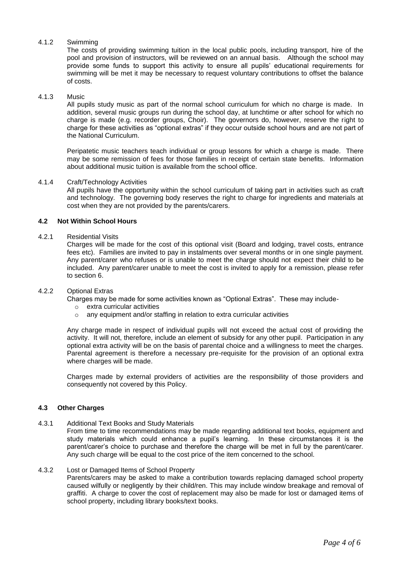#### <span id="page-3-0"></span>4.1.2 Swimming

The costs of providing swimming tuition in the local public pools, including transport, hire of the pool and provision of instructors, will be reviewed on an annual basis. Although the school may provide some funds to support this activity to ensure all pupils' educational requirements for swimming will be met it may be necessary to request voluntary contributions to offset the balance of costs.

#### <span id="page-3-1"></span>4.1.3 Music

All pupils study music as part of the normal school curriculum for which no charge is made. In addition, several music groups run during the school day, at lunchtime or after school for which no charge is made (e.g. recorder groups, Choir). The governors do, however, reserve the right to charge for these activities as "optional extras" if they occur outside school hours and are not part of the National Curriculum.

Peripatetic music teachers teach individual or group lessons for which a charge is made. There may be some remission of fees for those families in receipt of certain state benefits. Information about additional music tuition is available from the school office.

#### <span id="page-3-2"></span>4.1.4 Craft/Technology Activities

All pupils have the opportunity within the school curriculum of taking part in activities such as craft and technology. The governing body reserves the right to charge for ingredients and materials at cost when they are not provided by the parents/carers.

#### <span id="page-3-3"></span>**4.2 Not Within School Hours**

#### <span id="page-3-4"></span>4.2.1 Residential Visits

Charges will be made for the cost of this optional visit (Board and lodging, travel costs, entrance fees etc). Families are invited to pay in instalments over several months or in one single payment. Any parent/carer who refuses or is unable to meet the charge should not expect their child to be included. Any parent/carer unable to meet the cost is invited to apply for a remission, please refer to section 6.

#### <span id="page-3-5"></span>4.2.2 Optional Extras

Charges may be made for some activities known as "Optional Extras". These may include-

- o extra curricular activities
- o any equipment and/or staffing in relation to extra curricular activities

Any charge made in respect of individual pupils will not exceed the actual cost of providing the activity. It will not, therefore, include an element of subsidy for any other pupil. Participation in any optional extra activity will be on the basis of parental choice and a willingness to meet the charges. Parental agreement is therefore a necessary pre-requisite for the provision of an optional extra where charges will be made.

Charges made by external providers of activities are the responsibility of those providers and consequently not covered by this Policy.

#### <span id="page-3-6"></span>**4.3 Other Charges**

#### <span id="page-3-7"></span>4.3.1 Additional Text Books and Study Materials

From time to time recommendations may be made regarding additional text books, equipment and study materials which could enhance a pupil's learning. In these circumstances it is the parent/carer's choice to purchase and therefore the charge will be met in full by the parent/carer. Any such charge will be equal to the cost price of the item concerned to the school.

#### <span id="page-3-8"></span>4.3.2 Lost or Damaged Items of School Property

Parents/carers may be asked to make a contribution towards replacing damaged school property caused wilfully or negligently by their child/ren. This may include window breakage and removal of graffiti. A charge to cover the cost of replacement may also be made for lost or damaged items of school property, including library books/text books.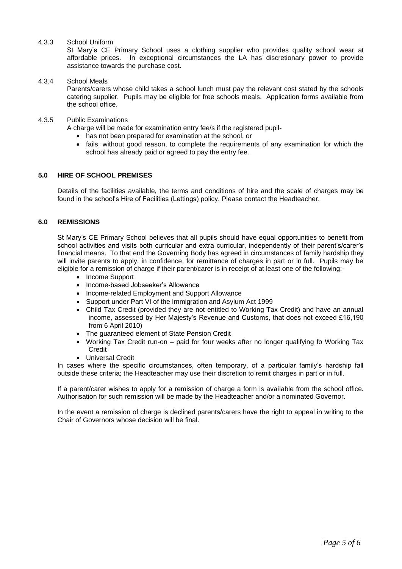#### <span id="page-4-0"></span>4.3.3 School Uniform

St Mary's CE Primary School uses a clothing supplier who provides quality school wear at affordable prices. In exceptional circumstances the LA has discretionary power to provide assistance towards the purchase cost.

#### <span id="page-4-1"></span>4.3.4 School Meals

Parents/carers whose child takes a school lunch must pay the relevant cost stated by the schools catering supplier. Pupils may be eligible for free schools meals. Application forms available from the school office.

#### <span id="page-4-2"></span>4.3.5 Public Examinations

A charge will be made for examination entry fee/s if the registered pupil-

- has not been prepared for examination at the school, or
- fails, without good reason, to complete the requirements of any examination for which the school has already paid or agreed to pay the entry fee.

#### <span id="page-4-3"></span>**5.0 HIRE OF SCHOOL PREMISES**

Details of the facilities available, the terms and conditions of hire and the scale of charges may be found in the school's Hire of Facilities (Lettings) policy. Please contact the Headteacher.

#### <span id="page-4-4"></span>**6.0 REMISSIONS**

St Mary's CE Primary School believes that all pupils should have equal opportunities to benefit from school activities and visits both curricular and extra curricular, independently of their parent's/carer's financial means. To that end the Governing Body has agreed in circumstances of family hardship they will invite parents to apply, in confidence, for remittance of charges in part or in full. Pupils may be eligible for a remission of charge if their parent/carer is in receipt of at least one of the following:-

- Income Support
- Income-based Jobseeker's Allowance
- Income-related Employment and Support Allowance
- Support under Part VI of the Immigration and Asylum Act 1999
- Child Tax Credit (provided they are not entitled to Working Tax Credit) and have an annual income, assessed by Her Majesty's Revenue and Customs, that does not exceed £16,190 from 6 April 2010)
- The guaranteed element of State Pension Credit
- Working Tax Credit run-on paid for four weeks after no longer qualifying fo Working Tax **Credit**
- Universal Credit

In cases where the specific circumstances, often temporary, of a particular family's hardship fall outside these criteria; the Headteacher may use their discretion to remit charges in part or in full.

If a parent/carer wishes to apply for a remission of charge a form is available from the school office. Authorisation for such remission will be made by the Headteacher and/or a nominated Governor.

In the event a remission of charge is declined parents/carers have the right to appeal in writing to the Chair of Governors whose decision will be final.